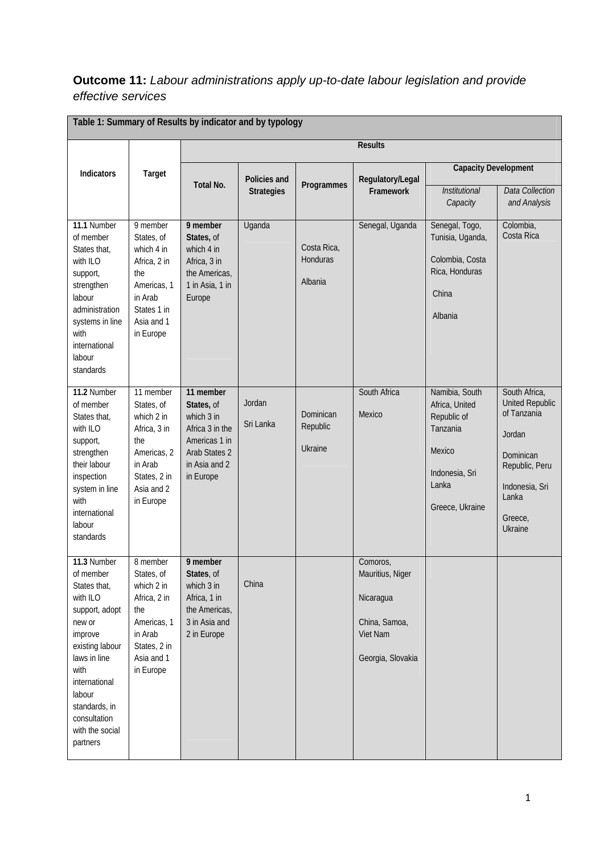## **Outcome 11:** *Labour administrations apply up-to-date labour legislation and provide effective services*

| Table 1: Summary of Results by indicator and by typology                                                                                                                                                                          |                                                                                                                                   |                                                                                                                          |                     |                                    |                                                                                             |                                                                                                                     |                                                                                                                                                  |
|-----------------------------------------------------------------------------------------------------------------------------------------------------------------------------------------------------------------------------------|-----------------------------------------------------------------------------------------------------------------------------------|--------------------------------------------------------------------------------------------------------------------------|---------------------|------------------------------------|---------------------------------------------------------------------------------------------|---------------------------------------------------------------------------------------------------------------------|--------------------------------------------------------------------------------------------------------------------------------------------------|
|                                                                                                                                                                                                                                   | Target                                                                                                                            | <b>Results</b>                                                                                                           |                     |                                    |                                                                                             |                                                                                                                     |                                                                                                                                                  |
| Indicators                                                                                                                                                                                                                        |                                                                                                                                   | Policies and                                                                                                             |                     |                                    | Regulatory/Legal                                                                            | <b>Capacity Development</b>                                                                                         |                                                                                                                                                  |
|                                                                                                                                                                                                                                   |                                                                                                                                   | <b>Total No.</b>                                                                                                         | <b>Strategies</b>   | Programmes                         | Framework                                                                                   | <b>Institutional</b><br>Capacity                                                                                    | <b>Data Collection</b><br>and Analysis                                                                                                           |
| 11.1 Number<br>of member<br>States that,<br>with ILO<br>support,<br>strengthen<br>labour<br>administration<br>systems in line<br>with<br>international<br>labour<br>standards                                                     | 9 member<br>States, of<br>which 4 in<br>Africa, 2 in<br>the<br>Americas, 1<br>in Arab<br>States 1 in<br>Asia and 1<br>in Europe   | 9 member<br>States, of<br>which 4 in<br>Africa, 3 in<br>the Americas,<br>1 in Asia, 1 in<br>Europe                       | Uganda              | Costa Rica,<br>Honduras<br>Albania | Senegal, Uganda                                                                             | Senegal, Togo,<br>Tunisia, Uganda,<br>Colombia, Costa<br>Rica, Honduras<br>China<br>Albania                         | Colombia,<br>Costa Rica                                                                                                                          |
| 11.2 Number<br>of member<br>States that,<br>with ILO<br>support,<br>strengthen<br>their labour<br>inspection<br>system in line<br>with<br>international<br>labour<br>standards                                                    | 11 member<br>States, of<br>which 2 in<br>Africa, 3 in<br>the<br>Americas, 2<br>in Arab<br>States, 2 in<br>Asia and 2<br>in Europe | 11 member<br>States, of<br>which 3 in<br>Africa 3 in the<br>Americas 1 in<br>Arab States 2<br>in Asia and 2<br>in Europe | Jordan<br>Sri Lanka | Dominican<br>Republic<br>Ukraine   | South Africa<br>Mexico                                                                      | Namibia, South<br>Africa, United<br>Republic of<br>Tanzania<br>Mexico<br>Indonesia, Sri<br>Lanka<br>Greece, Ukraine | South Africa,<br><b>United Republic</b><br>of Tanzania<br>Jordan<br>Dominican<br>Republic, Peru<br>Indonesia, Sri<br>Lanka<br>Greece,<br>Ukraine |
| 11.3 Number<br>of member<br>States that,<br>with ILO<br>support, adopt<br>new or<br>improve<br>existing labour<br>laws in line<br>with<br>international<br>labour<br>standards, in<br>consultation<br>with the social<br>partners | 8 member<br>States, of<br>which 2 in<br>Africa, 2 in<br>the<br>Americas, 1<br>in Arab<br>States, 2 in<br>Asia and 1<br>in Europe  | 9 member<br>States, of<br>which 3 in<br>Africa, 1 in<br>the Americas,<br>3 in Asia and<br>2 in Europe                    | China               |                                    | Comoros,<br>Mauritius, Niger<br>Nicaragua<br>China, Samoa,<br>Viet Nam<br>Georgia, Slovakia |                                                                                                                     |                                                                                                                                                  |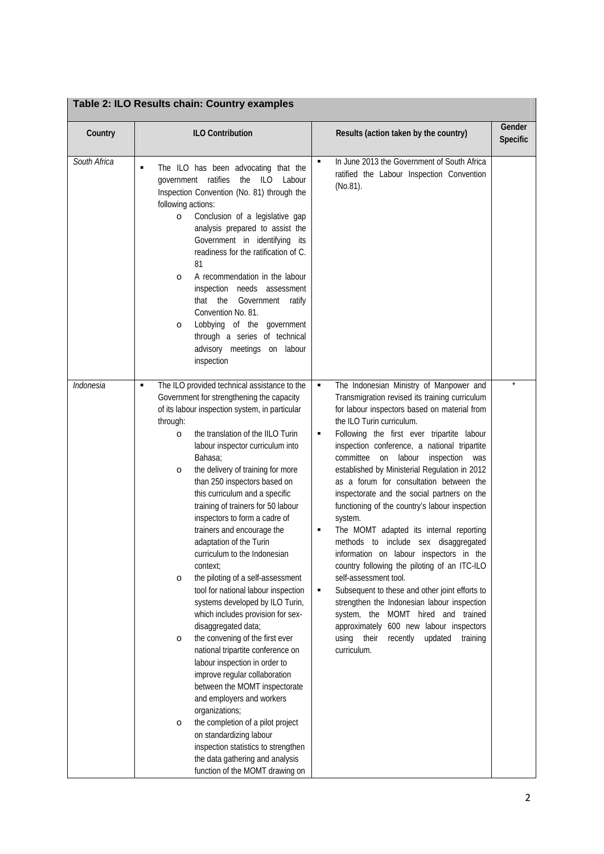| Table 2: ILO Results chain: Country examples |
|----------------------------------------------|
|                                              |

| Country      | <b>ILO Contribution</b>                                                                                                                                                                                                                                                                                                                                                                                                                                                                                                                                                                                                                                                                                                                                                                                                                                                                                                                                                                                                                                                                                                                                                      | Results (action taken by the country)                                                                                                                                                                                                                                                                                                                                                                                                                                                                                                                                                                                                                                                                                                                                                                                                                                                                                                                                                                           | Gender<br>Specific |
|--------------|------------------------------------------------------------------------------------------------------------------------------------------------------------------------------------------------------------------------------------------------------------------------------------------------------------------------------------------------------------------------------------------------------------------------------------------------------------------------------------------------------------------------------------------------------------------------------------------------------------------------------------------------------------------------------------------------------------------------------------------------------------------------------------------------------------------------------------------------------------------------------------------------------------------------------------------------------------------------------------------------------------------------------------------------------------------------------------------------------------------------------------------------------------------------------|-----------------------------------------------------------------------------------------------------------------------------------------------------------------------------------------------------------------------------------------------------------------------------------------------------------------------------------------------------------------------------------------------------------------------------------------------------------------------------------------------------------------------------------------------------------------------------------------------------------------------------------------------------------------------------------------------------------------------------------------------------------------------------------------------------------------------------------------------------------------------------------------------------------------------------------------------------------------------------------------------------------------|--------------------|
| South Africa | The ILO has been advocating that the<br>٠<br>government ratifies<br>the<br><b>ILO</b><br>Labour<br>Inspection Convention (No. 81) through the<br>following actions:<br>Conclusion of a legislative gap<br>$\circ$<br>analysis prepared to assist the<br>Government in identifying its<br>readiness for the ratification of C.<br>81<br>A recommendation in the labour<br>$\circ$<br>inspection needs assessment<br>that the Government<br>ratify<br>Convention No. 81.<br>Lobbying of the government<br>$\circ$<br>through a series of technical<br>advisory meetings on labour<br>inspection                                                                                                                                                                                                                                                                                                                                                                                                                                                                                                                                                                                | In June 2013 the Government of South Africa<br>٠<br>ratified the Labour Inspection Convention<br>(No.81).                                                                                                                                                                                                                                                                                                                                                                                                                                                                                                                                                                                                                                                                                                                                                                                                                                                                                                       |                    |
| Indonesia    | The ILO provided technical assistance to the<br>٠<br>Government for strengthening the capacity<br>of its labour inspection system, in particular<br>through:<br>the translation of the IILO Turin<br>$\circ$<br>labour inspector curriculum into<br>Bahasa;<br>the delivery of training for more<br>$\circ$<br>than 250 inspectors based on<br>this curriculum and a specific<br>training of trainers for 50 labour<br>inspectors to form a cadre of<br>trainers and encourage the<br>adaptation of the Turin<br>curriculum to the Indonesian<br>context;<br>the piloting of a self-assessment<br>$\circ$<br>tool for national labour inspection<br>systems developed by ILO Turin,<br>which includes provision for sex-<br>disaggregated data;<br>the convening of the first ever<br>$\circ$<br>national tripartite conference on<br>labour inspection in order to<br>improve regular collaboration<br>between the MOMT inspectorate<br>and employers and workers<br>organizations;<br>the completion of a pilot project<br>$\circ$<br>on standardizing labour<br>inspection statistics to strengthen<br>the data gathering and analysis<br>function of the MOMT drawing on | The Indonesian Ministry of Manpower and<br>٠<br>Transmigration revised its training curriculum<br>for labour inspectors based on material from<br>the ILO Turin curriculum.<br>Following the first ever tripartite labour<br>٠<br>inspection conference, a national tripartite<br>committee<br>on<br>labour<br>inspection<br>was<br>established by Ministerial Regulation in 2012<br>as a forum for consultation between the<br>inspectorate and the social partners on the<br>functioning of the country's labour inspection<br>system.<br>The MOMT adapted its internal reporting<br>٠<br>methods to include sex disaggregated<br>information on labour inspectors in the<br>country following the piloting of an ITC-ILO<br>self-assessment tool.<br>Subsequent to these and other joint efforts to<br>٠<br>strengthen the Indonesian labour inspection<br>system, the MOMT hired and trained<br>approximately 600 new labour inspectors<br>their<br>recently<br>updated<br>using<br>training<br>curriculum. |                    |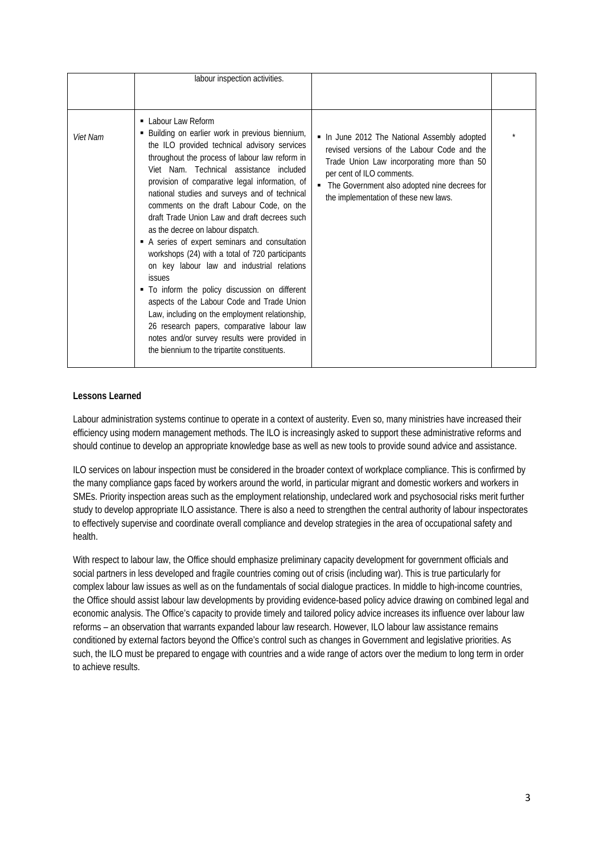|          | labour inspection activities.                                                                                                                                                                                                                                                                                                                                                                                                                                                                                                                                                                                                                                                                                                                                                                                                                                                                                             |                                                                                                                                                                                                                                                                   |  |
|----------|---------------------------------------------------------------------------------------------------------------------------------------------------------------------------------------------------------------------------------------------------------------------------------------------------------------------------------------------------------------------------------------------------------------------------------------------------------------------------------------------------------------------------------------------------------------------------------------------------------------------------------------------------------------------------------------------------------------------------------------------------------------------------------------------------------------------------------------------------------------------------------------------------------------------------|-------------------------------------------------------------------------------------------------------------------------------------------------------------------------------------------------------------------------------------------------------------------|--|
|          |                                                                                                                                                                                                                                                                                                                                                                                                                                                                                                                                                                                                                                                                                                                                                                                                                                                                                                                           |                                                                                                                                                                                                                                                                   |  |
| Viet Nam | • Labour Law Reform<br>Building on earlier work in previous biennium,<br>the ILO provided technical advisory services<br>throughout the process of labour law reform in<br>Viet Nam. Technical assistance included<br>provision of comparative legal information, of<br>national studies and surveys and of technical<br>comments on the draft Labour Code, on the<br>draft Trade Union Law and draft decrees such<br>as the decree on labour dispatch.<br>A series of expert seminars and consultation<br>workshops (24) with a total of 720 participants<br>on key labour law and industrial relations<br><b>issues</b><br>• To inform the policy discussion on different<br>aspects of the Labour Code and Trade Union<br>Law, including on the employment relationship,<br>26 research papers, comparative labour law<br>notes and/or survey results were provided in<br>the biennium to the tripartite constituents. | . In June 2012 The National Assembly adopted<br>revised versions of the Labour Code and the<br>Trade Union Law incorporating more than 50<br>per cent of ILO comments.<br>• The Government also adopted nine decrees for<br>the implementation of these new laws. |  |

## **Lessons Learned**

Labour administration systems continue to operate in a context of austerity. Even so, many ministries have increased their efficiency using modern management methods. The ILO is increasingly asked to support these administrative reforms and should continue to develop an appropriate knowledge base as well as new tools to provide sound advice and assistance.

ILO services on labour inspection must be considered in the broader context of workplace compliance. This is confirmed by the many compliance gaps faced by workers around the world, in particular migrant and domestic workers and workers in SMEs. Priority inspection areas such as the employment relationship, undeclared work and psychosocial risks merit further study to develop appropriate ILO assistance. There is also a need to strengthen the central authority of labour inspectorates to effectively supervise and coordinate overall compliance and develop strategies in the area of occupational safety and health.

With respect to labour law, the Office should emphasize preliminary capacity development for government officials and social partners in less developed and fragile countries coming out of crisis (including war). This is true particularly for complex labour law issues as well as on the fundamentals of social dialogue practices. In middle to high-income countries, the Office should assist labour law developments by providing evidence-based policy advice drawing on combined legal and economic analysis. The Office's capacity to provide timely and tailored policy advice increases its influence over labour law reforms – an observation that warrants expanded labour law research. However, ILO labour law assistance remains conditioned by external factors beyond the Office's control such as changes in Government and legislative priorities. As such, the ILO must be prepared to engage with countries and a wide range of actors over the medium to long term in order to achieve results.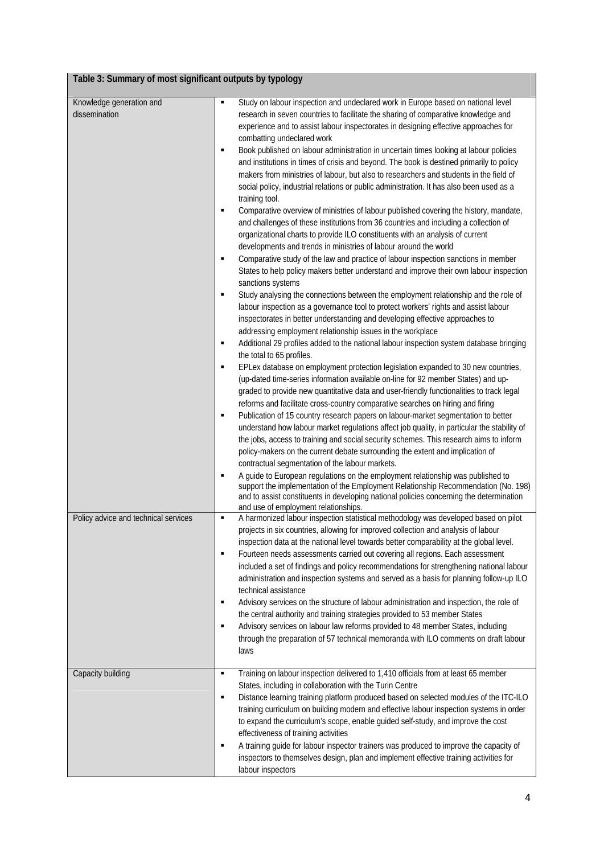## **Table 3: Summary of most significant outputs by typology**

| Knowledge generation and             | ٠              | Study on labour inspection and undeclared work in Europe based on national level            |
|--------------------------------------|----------------|---------------------------------------------------------------------------------------------|
| dissemination                        |                | research in seven countries to facilitate the sharing of comparative knowledge and          |
|                                      |                | experience and to assist labour inspectorates in designing effective approaches for         |
|                                      |                | combatting undeclared work                                                                  |
|                                      | ٠              | Book published on labour administration in uncertain times looking at labour policies       |
|                                      |                | and institutions in times of crisis and beyond. The book is destined primarily to policy    |
|                                      |                | makers from ministries of labour, but also to researchers and students in the field of      |
|                                      |                | social policy, industrial relations or public administration. It has also been used as a    |
|                                      |                | training tool.                                                                              |
|                                      | ٠              | Comparative overview of ministries of labour published covering the history, mandate,       |
|                                      |                | and challenges of these institutions from 36 countries and including a collection of        |
|                                      |                | organizational charts to provide ILO constituents with an analysis of current               |
|                                      |                | developments and trends in ministries of labour around the world                            |
|                                      | $\blacksquare$ | Comparative study of the law and practice of labour inspection sanctions in member          |
|                                      |                | States to help policy makers better understand and improve their own labour inspection      |
|                                      |                | sanctions systems                                                                           |
|                                      | $\blacksquare$ | Study analysing the connections between the employment relationship and the role of         |
|                                      |                | labour inspection as a governance tool to protect workers' rights and assist labour         |
|                                      |                | inspectorates in better understanding and developing effective approaches to                |
|                                      |                | addressing employment relationship issues in the workplace                                  |
|                                      | ٠              | Additional 29 profiles added to the national labour inspection system database bringing     |
|                                      |                | the total to 65 profiles.                                                                   |
|                                      | ٠              | EPLex database on employment protection legislation expanded to 30 new countries,           |
|                                      |                | (up-dated time-series information available on-line for 92 member States) and up-           |
|                                      |                | graded to provide new quantitative data and user-friendly functionalities to track legal    |
|                                      |                | reforms and facilitate cross-country comparative searches on hiring and firing              |
|                                      | ٠              | Publication of 15 country research papers on labour-market segmentation to better           |
|                                      |                | understand how labour market regulations affect job quality, in particular the stability of |
|                                      |                | the jobs, access to training and social security schemes. This research aims to inform      |
|                                      |                | policy-makers on the current debate surrounding the extent and implication of               |
|                                      |                | contractual segmentation of the labour markets.                                             |
|                                      | $\blacksquare$ | A guide to European regulations on the employment relationship was published to             |
|                                      |                | support the implementation of the Employment Relationship Recommendation (No. 198)          |
|                                      |                | and to assist constituents in developing national policies concerning the determination     |
|                                      |                | and use of employment relationships.                                                        |
| Policy advice and technical services | $\blacksquare$ | A harmonized labour inspection statistical methodology was developed based on pilot         |
|                                      |                | projects in six countries, allowing for improved collection and analysis of labour          |
|                                      |                | inspection data at the national level towards better comparability at the global level.     |
|                                      | $\blacksquare$ | Fourteen needs assessments carried out covering all regions. Each assessment                |
|                                      |                | included a set of findings and policy recommendations for strengthening national labour     |
|                                      |                | administration and inspection systems and served as a basis for planning follow-up ILO      |
|                                      |                | technical assistance                                                                        |
|                                      | ٠              | Advisory services on the structure of labour administration and inspection, the role of     |
|                                      |                | the central authority and training strategies provided to 53 member States                  |
|                                      | ٠              | Advisory services on labour law reforms provided to 48 member States, including             |
|                                      |                | through the preparation of 57 technical memoranda with ILO comments on draft labour         |
|                                      |                | laws                                                                                        |
|                                      |                |                                                                                             |
| Capacity building                    | ٠              | Training on labour inspection delivered to 1,410 officials from at least 65 member          |
|                                      |                | States, including in collaboration with the Turin Centre                                    |
|                                      | ٠              | Distance learning training platform produced based on selected modules of the ITC-ILO       |
|                                      |                | training curriculum on building modern and effective labour inspection systems in order     |
|                                      |                | to expand the curriculum's scope, enable guided self-study, and improve the cost            |
|                                      |                | effectiveness of training activities                                                        |
|                                      | ٠              | A training guide for labour inspector trainers was produced to improve the capacity of      |
|                                      |                | inspectors to themselves design, plan and implement effective training activities for       |
|                                      |                | labour inspectors                                                                           |